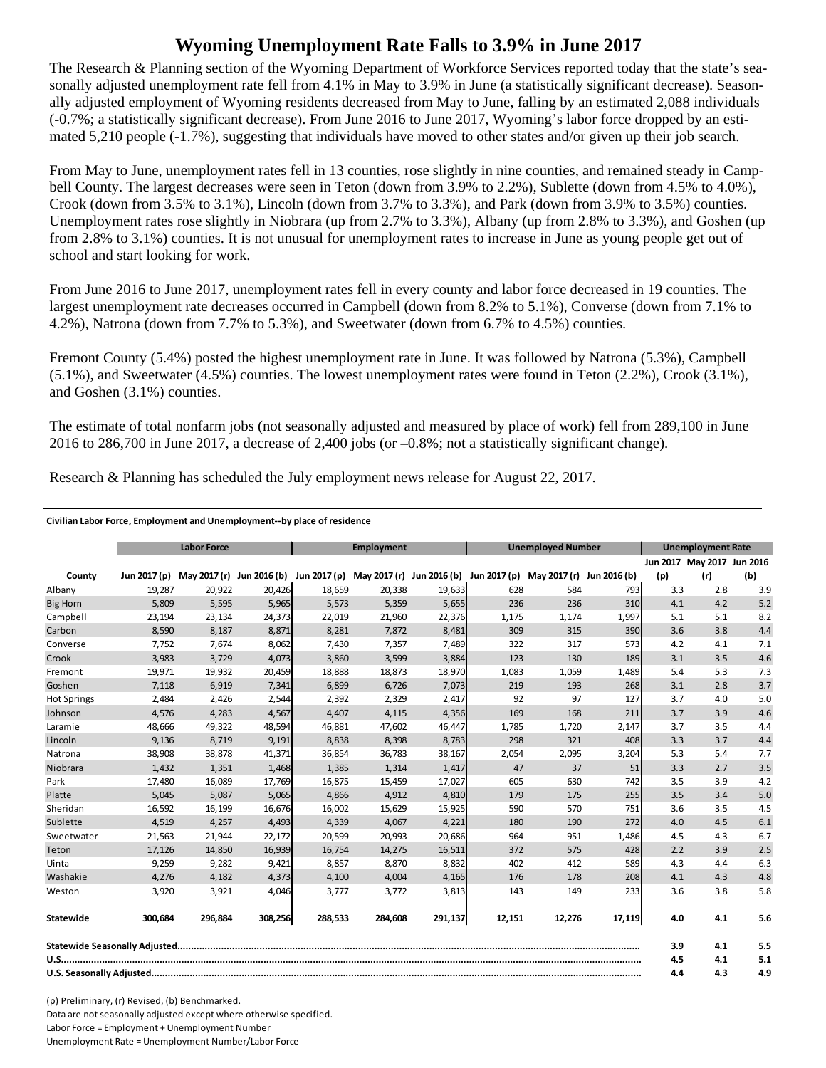## **Wyoming Unemployment Rate Falls to 3.9% in June 2017**

The Research & Planning section of the Wyoming Department of Workforce Services reported today that the state's seasonally adjusted unemployment rate fell from 4.1% in May to 3.9% in June (a statistically significant decrease). Seasonally adjusted employment of Wyoming residents decreased from May to June, falling by an estimated 2,088 individuals (-0.7%; a statistically significant decrease). From June 2016 to June 2017, Wyoming's labor force dropped by an estimated 5,210 people (-1.7%), suggesting that individuals have moved to other states and/or given up their job search.

From May to June, unemployment rates fell in 13 counties, rose slightly in nine counties, and remained steady in Campbell County. The largest decreases were seen in Teton (down from 3.9% to 2.2%), Sublette (down from 4.5% to 4.0%), Crook (down from 3.5% to 3.1%), Lincoln (down from 3.7% to 3.3%), and Park (down from 3.9% to 3.5%) counties. Unemployment rates rose slightly in Niobrara (up from 2.7% to 3.3%), Albany (up from 2.8% to 3.3%), and Goshen (up from 2.8% to 3.1%) counties. It is not unusual for unemployment rates to increase in June as young people get out of school and start looking for work.

From June 2016 to June 2017, unemployment rates fell in every county and labor force decreased in 19 counties. The largest unemployment rate decreases occurred in Campbell (down from 8.2% to 5.1%), Converse (down from 7.1% to 4.2%), Natrona (down from 7.7% to 5.3%), and Sweetwater (down from 6.7% to 4.5%) counties.

Fremont County (5.4%) posted the highest unemployment rate in June. It was followed by Natrona (5.3%), Campbell (5.1%), and Sweetwater (4.5%) counties. The lowest unemployment rates were found in Teton (2.2%), Crook (3.1%), and Goshen (3.1%) counties.

The estimate of total nonfarm jobs (not seasonally adjusted and measured by place of work) fell from 289,100 in June 2016 to 286,700 in June 2017, a decrease of 2,400 jobs (or –0.8%; not a statistically significant change).

Research & Planning has scheduled the July employment news release for August 22, 2017.

## **Civilian Labor Force, Employment and Unemployment‐‐by place of residence**

|                    | <b>Labor Force</b> |         |         | <b>Employment</b>                                                             |         |         | <b>Unemployed Number</b> |              |              | <b>Unemployment Rate</b> |                            |     |
|--------------------|--------------------|---------|---------|-------------------------------------------------------------------------------|---------|---------|--------------------------|--------------|--------------|--------------------------|----------------------------|-----|
|                    |                    |         |         |                                                                               |         |         |                          |              |              |                          | Jun 2017 May 2017 Jun 2016 |     |
| County             | Jun 2017 (p)       |         |         | May 2017 (r) Jun 2016 (b) Jun 2017 (p) May 2017 (r) Jun 2016 (b) Jun 2017 (p) |         |         |                          | May 2017 (r) | Jun 2016 (b) | (p)                      | (r)                        | (b) |
| Albany             | 19,287             | 20,922  | 20,426  | 18,659                                                                        | 20,338  | 19,633  | 628                      | 584          | 793          | 3.3                      | 2.8                        | 3.9 |
| <b>Big Horn</b>    | 5,809              | 5,595   | 5,965   | 5,573                                                                         | 5,359   | 5,655   | 236                      | 236          | 310          | 4.1                      | 4.2                        | 5.2 |
| Campbell           | 23,194             | 23,134  | 24,373  | 22,019                                                                        | 21,960  | 22,376  | 1,175                    | 1,174        | 1,997        | 5.1                      | 5.1                        | 8.2 |
| Carbon             | 8,590              | 8,187   | 8,871   | 8,281                                                                         | 7,872   | 8,481   | 309                      | 315          | 390          | 3.6                      | 3.8                        | 4.4 |
| Converse           | 7,752              | 7,674   | 8,062   | 7,430                                                                         | 7,357   | 7,489   | 322                      | 317          | 573          | 4.2                      | 4.1                        | 7.1 |
| Crook              | 3,983              | 3,729   | 4,073   | 3,860                                                                         | 3,599   | 3,884   | 123                      | 130          | 189          | 3.1                      | 3.5                        | 4.6 |
| Fremont            | 19,971             | 19,932  | 20,459  | 18,888                                                                        | 18,873  | 18,970  | 1,083                    | 1,059        | 1,489        | 5.4                      | 5.3                        | 7.3 |
| Goshen             | 7,118              | 6,919   | 7,341   | 6,899                                                                         | 6,726   | 7,073   | 219                      | 193          | 268          | 3.1                      | 2.8                        | 3.7 |
| <b>Hot Springs</b> | 2,484              | 2,426   | 2,544   | 2,392                                                                         | 2,329   | 2,417   | 92                       | 97           | 127          | 3.7                      | 4.0                        | 5.0 |
| Johnson            | 4,576              | 4,283   | 4,567   | 4,407                                                                         | 4,115   | 4,356   | 169                      | 168          | 211          | 3.7                      | 3.9                        | 4.6 |
| Laramie            | 48,666             | 49,322  | 48,594  | 46,881                                                                        | 47,602  | 46,447  | 1,785                    | 1,720        | 2,147        | 3.7                      | 3.5                        | 4.4 |
| Lincoln            | 9,136              | 8,719   | 9,191   | 8,838                                                                         | 8,398   | 8,783   | 298                      | 321          | 408          | 3.3                      | 3.7                        | 4.4 |
| Natrona            | 38,908             | 38,878  | 41,371  | 36,854                                                                        | 36,783  | 38,167  | 2,054                    | 2,095        | 3,204        | 5.3                      | 5.4                        | 7.7 |
| Niobrara           | 1,432              | 1,351   | 1,468   | 1,385                                                                         | 1,314   | 1,417   | 47                       | 37           | 51           | 3.3                      | 2.7                        | 3.5 |
| Park               | 17,480             | 16,089  | 17,769  | 16,875                                                                        | 15,459  | 17,027  | 605                      | 630          | 742          | 3.5                      | 3.9                        | 4.2 |
| Platte             | 5,045              | 5,087   | 5,065   | 4,866                                                                         | 4,912   | 4,810   | 179                      | 175          | 255          | 3.5                      | 3.4                        | 5.0 |
| Sheridan           | 16,592             | 16,199  | 16,676  | 16,002                                                                        | 15,629  | 15,925  | 590                      | 570          | 751          | 3.6                      | 3.5                        | 4.5 |
| Sublette           | 4,519              | 4,257   | 4,493   | 4,339                                                                         | 4,067   | 4,221   | 180                      | 190          | 272          | 4.0                      | 4.5                        | 6.1 |
| Sweetwater         | 21,563             | 21,944  | 22,172  | 20,599                                                                        | 20,993  | 20,686  | 964                      | 951          | 1,486        | 4.5                      | 4.3                        | 6.7 |
| Teton              | 17.126             | 14.850  | 16,939  | 16.754                                                                        | 14,275  | 16,511  | 372                      | 575          | 428          | 2.2                      | 3.9                        | 2.5 |
| Uinta              | 9,259              | 9,282   | 9,421   | 8,857                                                                         | 8,870   | 8,832   | 402                      | 412          | 589          | 4.3                      | 4.4                        | 6.3 |
| Washakie           | 4,276              | 4,182   | 4,373   | 4,100                                                                         | 4,004   | 4,165   | 176                      | 178          | 208          | 4.1                      | 4.3                        | 4.8 |
| Weston             | 3,920              | 3,921   | 4,046   | 3,777                                                                         | 3,772   | 3,813   | 143                      | 149          | 233          | 3.6                      | 3.8                        | 5.8 |
| Statewide          | 300.684            | 296.884 | 308,256 | 288.533                                                                       | 284.608 | 291,137 | 12.151                   | 12,276       | 17,119       | 4.0                      | 4.1                        | 5.6 |
|                    |                    |         |         |                                                                               |         |         |                          | 3.9          | 4.1          | 5.5                      |                            |     |
|                    |                    |         |         |                                                                               |         |         |                          |              |              | 4.5                      | 4.1                        | 5.1 |
|                    |                    |         |         |                                                                               |         |         | 4.4                      | 4.3          | 4.9          |                          |                            |     |

(p) Preliminary, (r) Revised, (b) Benchmarked. Data are not seasonally adjusted except where otherwise specified. Labor Force = Employment + Unemployment Number Unemployment Rate = Unemployment Number/Labor Force